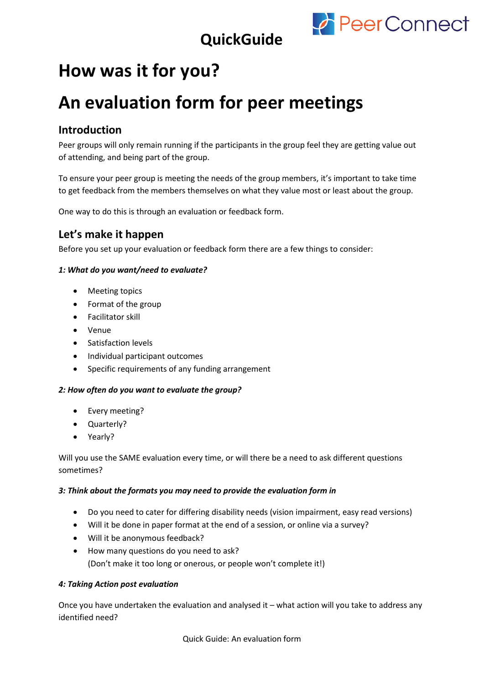

## **QuickGuide**

# **How was it for you?**

# **An evaluation form for peer meetings**

## **Introduction**

Peer groups will only remain running if the participants in the group feel they are getting value out of attending, and being part of the group.

To ensure your peer group is meeting the needs of the group members, it's important to take time to get feedback from the members themselves on what they value most or least about the group.

One way to do this is through an evaluation or feedback form.

## **Let's make it happen**

Before you set up your evaluation or feedback form there are a few things to consider:

#### *1: What do you want/need to evaluate?*

- Meeting topics
- Format of the group
- Facilitator skill
- Venue
- Satisfaction levels
- Individual participant outcomes
- Specific requirements of any funding arrangement

#### *2: How often do you want to evaluate the group?*

- Every meeting?
- Quarterly?
- Yearly?

Will you use the SAME evaluation every time, or will there be a need to ask different questions sometimes?

#### *3: Think about the formats you may need to provide the evaluation form in*

- Do you need to cater for differing disability needs (vision impairment, easy read versions)
- Will it be done in paper format at the end of a session, or online via a survey?
- Will it be anonymous feedback?
- How many questions do you need to ask? (Don't make it too long or onerous, or people won't complete it!)

#### *4: Taking Action post evaluation*

Once you have undertaken the evaluation and analysed it – what action will you take to address any identified need?

Quick Guide: An evaluation form